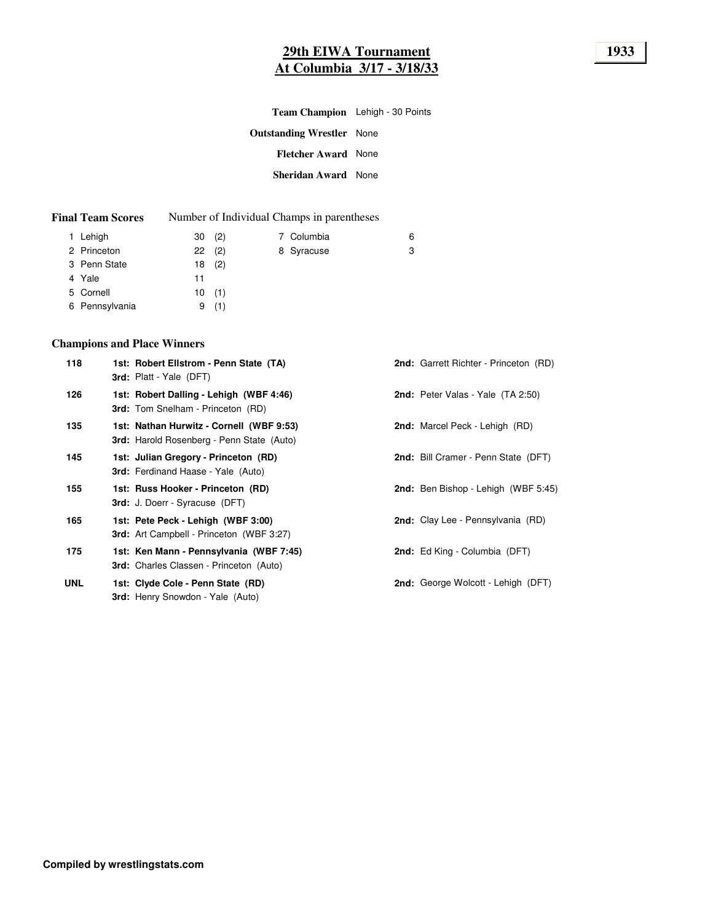| Team Champion Lehigh - 30 Points |  |
|----------------------------------|--|
| <b>Outstanding Wrestler</b> None |  |
| <b>Fletcher Award None</b>       |  |
| <b>Sheridan Award</b> None       |  |
|                                  |  |

| <b>Final Team Scores</b> |  | Number of Individual Champs in parentheses |
|--------------------------|--|--------------------------------------------|
|--------------------------|--|--------------------------------------------|

| 1 Lehigh       | 30(2) |       | 7 Columbia | 6 |
|----------------|-------|-------|------------|---|
| 2 Princeton    | 22(2) |       | 8 Syracuse | 3 |
| 3 Penn State   |       | 18(2) |            |   |
| 4 Yale         | 11    |       |            |   |
| 5 Cornell      |       | 10(1) |            |   |
| 6 Pennsylvania | 9     | (1)   |            |   |
|                |       |       |            |   |

# **Champions and Place Winners**

| 118        | 1st: Robert Ellstrom - Penn State (TA)<br><b>3rd:</b> Platt - Yale (DFT)                     | <b>2nd:</b> Garrett Richter - Princeton (RD) |
|------------|----------------------------------------------------------------------------------------------|----------------------------------------------|
| 126        | 1st: Robert Dalling - Lehigh (WBF 4:46)<br><b>3rd:</b> Tom Snelham - Princeton (RD)          | <b>2nd:</b> Peter Valas - Yale (TA 2:50)     |
| 135        | 1st: Nathan Hurwitz - Cornell (WBF 9:53)<br><b>3rd:</b> Harold Rosenberg - Penn State (Auto) | <b>2nd:</b> Marcel Peck - Lehigh (RD)        |
| 145        | 1st: Julian Gregory - Princeton (RD)<br><b>3rd:</b> Ferdinand Haase - Yale (Auto)            | 2nd: Bill Cramer - Penn State (DFT)          |
| 155        | 1st: Russ Hooker - Princeton (RD)<br><b>3rd:</b> J. Doerr - Syracuse (DFT)                   | <b>2nd:</b> Ben Bishop - Lehigh (WBF 5:45)   |
| 165        | 1st: Pete Peck - Lehigh (WBF 3:00)<br><b>3rd:</b> Art Campbell - Princeton (WBF 3:27)        | <b>2nd:</b> Clay Lee - Pennsylvania (RD)     |
| 175        | 1st: Ken Mann - Pennsylvania (WBF 7:45)<br><b>3rd:</b> Charles Classen - Princeton (Auto)    | 2nd: Ed King - Columbia (DFT)                |
| <b>UNL</b> | 1st: Clyde Cole - Penn State (RD)<br><b>3rd:</b> Henry Snowdon - Yale (Auto)                 | <b>2nd:</b> George Wolcott - Lehigh (DFT)    |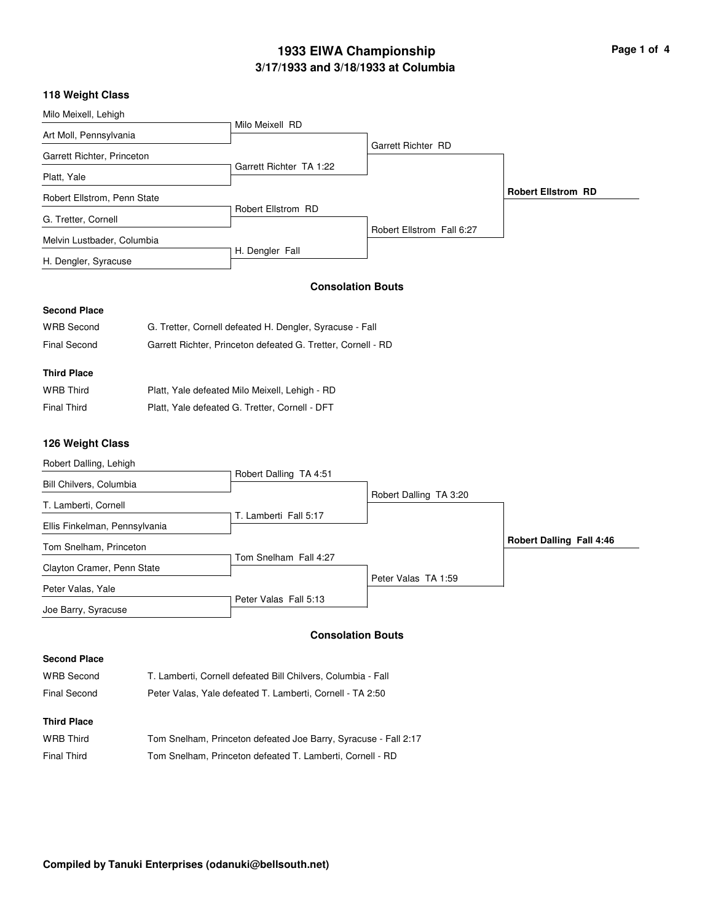# **3/17/1933 and 3/18/1933 at Columbia 1933 EIWA Championship Page 1 of 4**

#### **118 Weight Class**

| Milo Meixell, Lehigh        |                         |                           |                           |
|-----------------------------|-------------------------|---------------------------|---------------------------|
|                             | Milo Meixell RD         |                           |                           |
| Art Moll, Pennsylvania      |                         |                           |                           |
| Garrett Richter, Princeton  |                         | <b>Garrett Richter RD</b> |                           |
| Platt, Yale                 | Garrett Richter TA 1:22 |                           |                           |
| Robert Ellstrom, Penn State |                         |                           | <b>Robert Ellstrom RD</b> |
| G. Tretter, Cornell         | Robert Ellstrom RD      |                           |                           |
| Melvin Lustbader, Columbia  |                         | Robert Ellstrom Fall 6:27 |                           |
| H. Dengler, Syracuse        | H. Dengler Fall         |                           |                           |

#### **Second Place**

| <b>WRB Second</b>  | G. Tretter, Cornell defeated H. Dengler, Syracuse - Fall     |
|--------------------|--------------------------------------------------------------|
| Final Second       | Garrett Richter, Princeton defeated G. Tretter, Cornell - RD |
|                    |                                                              |
| <b>Third Place</b> |                                                              |
| <b>WRB Third</b>   | Platt, Yale defeated Milo Meixell, Lehigh - RD               |

| <b>Final Third</b> | Platt, Yale defeated G. Tretter, Cornell - DFT |  |  |
|--------------------|------------------------------------------------|--|--|

#### **126 Weight Class**



#### **Consolation Bouts**

#### **Second Place**

| <b>WRB Second</b>  | T. Lamberti, Cornell defeated Bill Chilvers, Columbia - Fall    |
|--------------------|-----------------------------------------------------------------|
| Final Second       | Peter Valas, Yale defeated T. Lamberti, Cornell - TA 2:50       |
| <b>Third Place</b> |                                                                 |
| <b>WRB</b> Third   | Tom Snelham, Princeton defeated Joe Barry, Syracuse - Fall 2:17 |
| <b>Final Third</b> | Tom Snelham, Princeton defeated T. Lamberti, Cornell - RD       |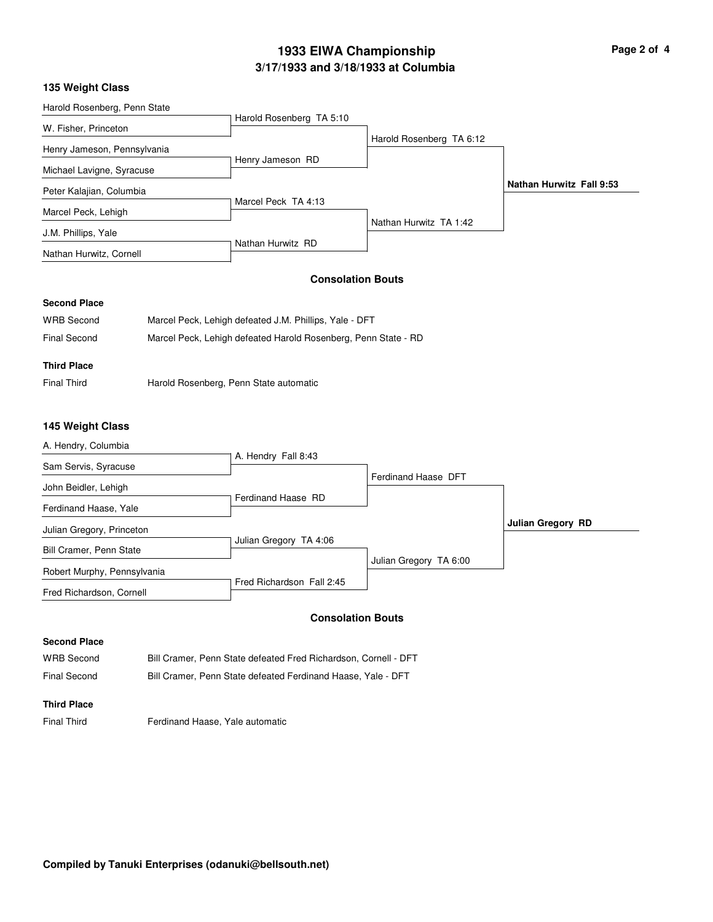# **3/17/1933 and 3/18/1933 at Columbia 1933 EIWA Championship Page 2 of 4**

## **135 Weight Class**

| Harold Rosenberg TA 5:10<br>Harold Rosenberg TA 6:12 |                                 |
|------------------------------------------------------|---------------------------------|
|                                                      |                                 |
|                                                      |                                 |
|                                                      |                                 |
|                                                      |                                 |
|                                                      |                                 |
|                                                      | <b>Nathan Hurwitz Fall 9:53</b> |
|                                                      |                                 |
|                                                      |                                 |
|                                                      |                                 |
|                                                      |                                 |
|                                                      | Nathan Hurwitz TA 1:42          |

## **Consolation Bouts**

## **Second Place**

| <b>WRB Second</b>  | Marcel Peck, Lehigh defeated J.M. Phillips, Yale - DFT         |
|--------------------|----------------------------------------------------------------|
| Final Second       | Marcel Peck, Lehigh defeated Harold Rosenberg, Penn State - RD |
| <b>Third Place</b> |                                                                |
|                    |                                                                |

Final Third **Harold Rosenberg, Penn State automatic** 

## **145 Weight Class**

| A. Hendry, Columbia         |                           |                        |                          |
|-----------------------------|---------------------------|------------------------|--------------------------|
| Sam Servis, Syracuse        | A. Hendry Fall 8:43       |                        |                          |
| John Beidler, Lehigh        |                           | Ferdinand Haase DFT    |                          |
| Ferdinand Haase, Yale       | Ferdinand Haase RD        |                        |                          |
| Julian Gregory, Princeton   |                           |                        | <b>Julian Gregory RD</b> |
| Bill Cramer, Penn State     | Julian Gregory TA 4:06    |                        |                          |
| Robert Murphy, Pennsylvania |                           | Julian Gregory TA 6:00 |                          |
| Fred Richardson, Cornell    | Fred Richardson Fall 2:45 |                        |                          |

#### **Consolation Bouts**

#### **Second Place**

WRB Second Bill Cramer, Penn State defeated Fred Richardson, Cornell - DFT Final Second Bill Cramer, Penn State defeated Ferdinand Haase, Yale - DFT

#### **Third Place**

Final Third **Ferdinand Haase, Yale automatic**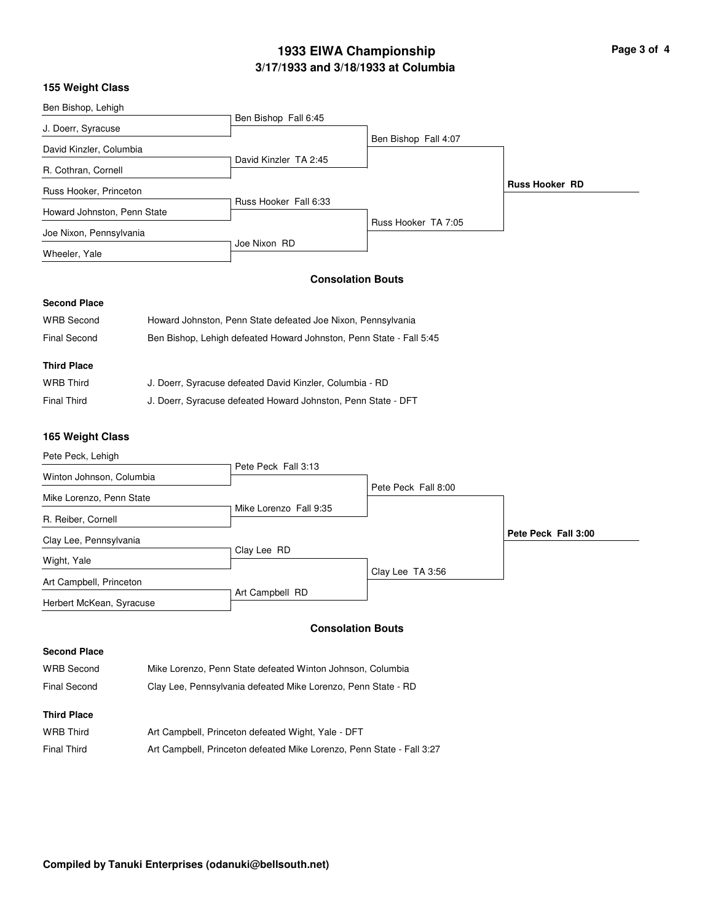# **3/17/1933 and 3/18/1933 at Columbia 1933 EIWA Championship Page 3 of 4**

## **155 Weight Class**

| Ben Bishop, Lehigh          |                       |                      |                       |
|-----------------------------|-----------------------|----------------------|-----------------------|
|                             | Ben Bishop Fall 6:45  |                      |                       |
| J. Doerr, Syracuse          |                       |                      |                       |
|                             |                       | Ben Bishop Fall 4:07 |                       |
| David Kinzler, Columbia     | David Kinzler TA 2:45 |                      |                       |
| R. Cothran, Cornell         |                       |                      |                       |
| Russ Hooker, Princeton      |                       |                      | <b>Russ Hooker RD</b> |
|                             | Russ Hooker Fall 6:33 |                      |                       |
| Howard Johnston, Penn State |                       |                      |                       |
|                             |                       | Russ Hooker TA 7:05  |                       |
| Joe Nixon, Pennsylvania     |                       |                      |                       |
|                             | Joe Nixon RD          |                      |                       |
| Wheeler, Yale               |                       |                      |                       |
|                             |                       |                      |                       |

# **Consolation Bouts**

# **Second Place**

| <b>WRB Second</b>   | Howard Johnston, Penn State defeated Joe Nixon, Pennsylvania        |
|---------------------|---------------------------------------------------------------------|
| <b>Final Second</b> | Ben Bishop, Lehigh defeated Howard Johnston, Penn State - Fall 5:45 |
|                     |                                                                     |
| <b>Third Place</b>  |                                                                     |
| <b>WRB Third</b>    | J. Doerr, Syracuse defeated David Kinzler, Columbia - RD            |
| <b>Final Third</b>  | J. Doerr, Syracuse defeated Howard Johnston, Penn State - DFT       |

## **165 Weight Class**

| Pete Peck, Lehigh        |                        |                     |                     |
|--------------------------|------------------------|---------------------|---------------------|
| Winton Johnson, Columbia | Pete Peck Fall 3:13    |                     |                     |
|                          |                        | Pete Peck Fall 8:00 |                     |
| Mike Lorenzo, Penn State | Mike Lorenzo Fall 9:35 |                     |                     |
| R. Reiber, Cornell       |                        |                     |                     |
| Clay Lee, Pennsylvania   |                        |                     | Pete Peck Fall 3:00 |
| Wight, Yale              | Clay Lee RD            |                     |                     |
| Art Campbell, Princeton  |                        | Clay Lee TA 3:56    |                     |
| Herbert McKean, Syracuse | Art Campbell RD        |                     |                     |

# **Consolation Bouts**

## **Second Place**

| <b>WRB Second</b>  | Mike Lorenzo, Penn State defeated Winton Johnson, Columbia            |
|--------------------|-----------------------------------------------------------------------|
| Final Second       | Clay Lee, Pennsylvania defeated Mike Lorenzo, Penn State - RD         |
| <b>Third Place</b> |                                                                       |
| <b>WRB Third</b>   | Art Campbell, Princeton defeated Wight, Yale - DFT                    |
| Final Third        | Art Campbell, Princeton defeated Mike Lorenzo, Penn State - Fall 3:27 |